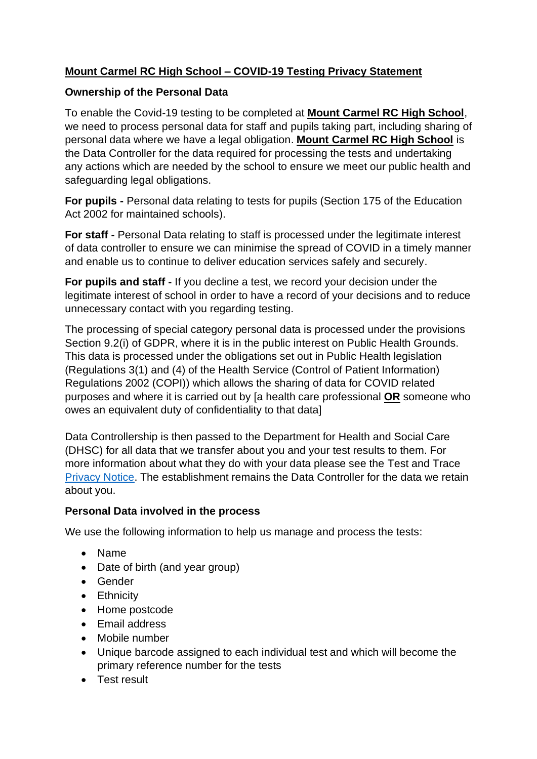# **Mount Carmel RC High School – COVID-19 Testing Privacy Statement**

### **Ownership of the Personal Data**

To enable the Covid-19 testing to be completed at **Mount Carmel RC High School**, we need to process personal data for staff and pupils taking part, including sharing of personal data where we have a legal obligation. **Mount Carmel RC High School** is the Data Controller for the data required for processing the tests and undertaking any actions which are needed by the school to ensure we meet our public health and safeguarding legal obligations.

**For pupils -** Personal data relating to tests for pupils (Section 175 of the Education Act 2002 for maintained schools).

**For staff -** Personal Data relating to staff is processed under the legitimate interest of data controller to ensure we can minimise the spread of COVID in a timely manner and enable us to continue to deliver education services safely and securely.

**For pupils and staff -** If you decline a test, we record your decision under the legitimate interest of school in order to have a record of your decisions and to reduce unnecessary contact with you regarding testing.

The processing of special category personal data is processed under the provisions Section 9.2(i) of GDPR, where it is in the public interest on Public Health Grounds. This data is processed under the obligations set out in Public Health legislation (Regulations 3(1) and (4) of the Health Service (Control of Patient Information) Regulations 2002 (COPI)) which allows the sharing of data for COVID related purposes and where it is carried out by [a health care professional **OR** someone who owes an equivalent duty of confidentiality to that data]

Data Controllership is then passed to the Department for Health and Social Care (DHSC) for all data that we transfer about you and your test results to them. For more information about what they do with your data please see the Test and Trace [Privacy Notice.](https://contact-tracing.phe.gov.uk/help/privacy-notice) The establishment remains the Data Controller for the data we retain about you.

## **Personal Data involved in the process**

We use the following information to help us manage and process the tests:

- Name
- Date of birth (and year group)
- Gender
- Ethnicity
- Home postcode
- Email address
- Mobile number
- Unique barcode assigned to each individual test and which will become the primary reference number for the tests
- Test result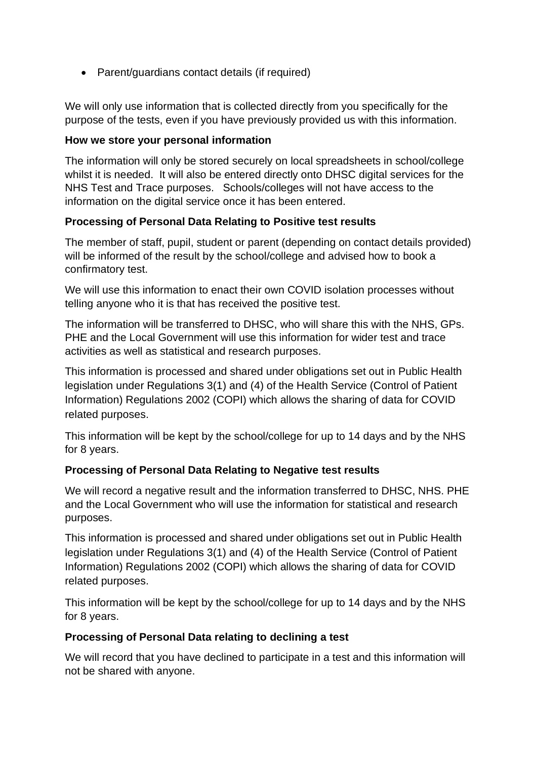• Parent/guardians contact details (if required)

We will only use information that is collected directly from you specifically for the purpose of the tests, even if you have previously provided us with this information.

#### **How we store your personal information**

The information will only be stored securely on local spreadsheets in school/college whilst it is needed. It will also be entered directly onto DHSC digital services for the NHS Test and Trace purposes. Schools/colleges will not have access to the information on the digital service once it has been entered.

### **Processing of Personal Data Relating to Positive test results**

The member of staff, pupil, student or parent (depending on contact details provided) will be informed of the result by the school/college and advised how to book a confirmatory test.

We will use this information to enact their own COVID isolation processes without telling anyone who it is that has received the positive test.

The information will be transferred to DHSC, who will share this with the NHS, GPs. PHE and the Local Government will use this information for wider test and trace activities as well as statistical and research purposes.

This information is processed and shared under obligations set out in Public Health legislation under Regulations 3(1) and (4) of the Health Service (Control of Patient Information) Regulations 2002 (COPI) which allows the sharing of data for COVID related purposes.

This information will be kept by the school/college for up to 14 days and by the NHS for 8 years.

### **Processing of Personal Data Relating to Negative test results**

We will record a negative result and the information transferred to DHSC, NHS. PHE and the Local Government who will use the information for statistical and research purposes.

This information is processed and shared under obligations set out in Public Health legislation under Regulations 3(1) and (4) of the Health Service (Control of Patient Information) Regulations 2002 (COPI) which allows the sharing of data for COVID related purposes.

This information will be kept by the school/college for up to 14 days and by the NHS for 8 years.

#### **Processing of Personal Data relating to declining a test**

We will record that you have declined to participate in a test and this information will not be shared with anyone.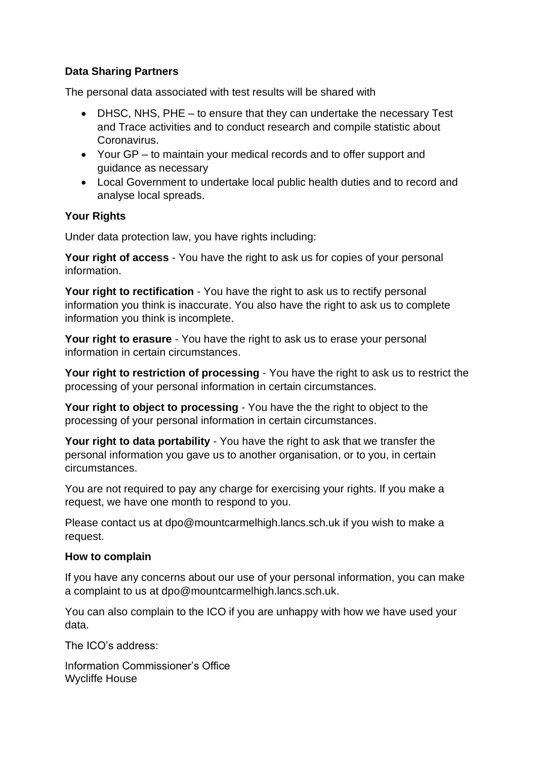### **Data Sharing Partners**

The personal data associated with test results will be shared with

- DHSC, NHS, PHE to ensure that they can undertake the necessary Test and Trace activities and to conduct research and compile statistic about Coronavirus.
- Your GP to maintain your medical records and to offer support and guidance as necessary
- Local Government to undertake local public health duties and to record and analyse local spreads.

### **Your Rights**

Under data protection law, you have rights including:

**Your right of access** - You have the right to ask us for copies of your personal information.

**Your right to rectification** - You have the right to ask us to rectify personal information you think is inaccurate. You also have the right to ask us to complete information you think is incomplete.

**Your right to erasure** - You have the right to ask us to erase your personal information in certain circumstances.

**Your right to restriction of processing** - You have the right to ask us to restrict the processing of your personal information in certain circumstances.

**Your right to object to processing** - You have the the right to object to the processing of your personal information in certain circumstances.

**Your right to data portability** - You have the right to ask that we transfer the personal information you gave us to another organisation, or to you, in certain circumstances.

You are not required to pay any charge for exercising your rights. If you make a request, we have one month to respond to you.

Please contact us at dpo@mountcarmelhigh.lancs.sch.uk if you wish to make a request.

### **How to complain**

If you have any concerns about our use of your personal information, you can make a complaint to us at dpo@mountcarmelhigh.lancs.sch.uk.

You can also complain to the ICO if you are unhappy with how we have used your data.

The ICO's address:

Information Commissioner's Office Wycliffe House